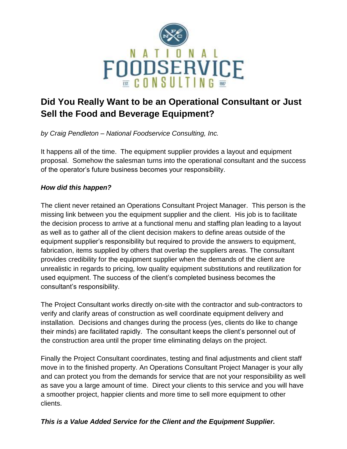

## **Did You Really Want to be an Operational Consultant or Just Sell the Food and Beverage Equipment?**

*by Craig Pendleton – National Foodservice Consulting, Inc.*

It happens all of the time. The equipment supplier provides a layout and equipment proposal. Somehow the salesman turns into the operational consultant and the success of the operator's future business becomes your responsibility.

## *How did this happen?*

The client never retained an Operations Consultant Project Manager. This person is the missing link between you the equipment supplier and the client. His job is to facilitate the decision process to arrive at a functional menu and staffing plan leading to a layout as well as to gather all of the client decision makers to define areas outside of the equipment supplier's responsibility but required to provide the answers to equipment, fabrication, items supplied by others that overlap the suppliers areas. The consultant provides credibility for the equipment supplier when the demands of the client are unrealistic in regards to pricing, low quality equipment substitutions and reutilization for used equipment. The success of the client's completed business becomes the consultant's responsibility.

The Project Consultant works directly on-site with the contractor and sub-contractors to verify and clarify areas of construction as well coordinate equipment delivery and installation. Decisions and changes during the process (yes, clients do like to change their minds) are facilitated rapidly. The consultant keeps the client's personnel out of the construction area until the proper time eliminating delays on the project.

Finally the Project Consultant coordinates, testing and final adjustments and client staff move in to the finished property. An Operations Consultant Project Manager is your ally and can protect you from the demands for service that are not your responsibility as well as save you a large amount of time. Direct your clients to this service and you will have a smoother project, happier clients and more time to sell more equipment to other clients.

## *This is a Value Added Service for the Client and the Equipment Supplier.*